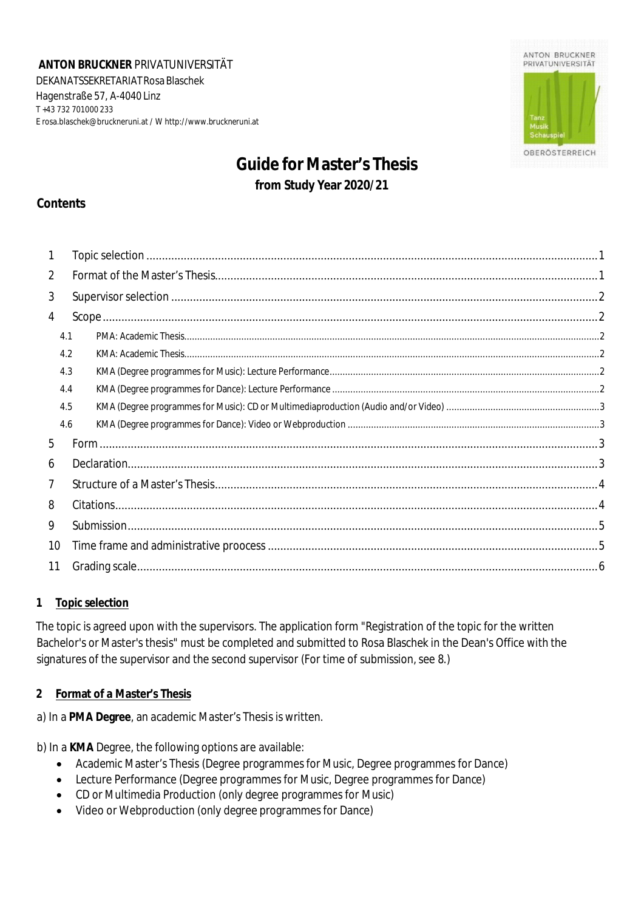**ANTON BRUCKNER** PRIVATUNIVERSITÄT DEKANATSSEKRETARIAT Rosa Blaschek Hagenstraße 57, A-4040 Linz T +43 732 701000 233 E [rosa.blaschek@bruckneruni.at](mailto:rosa.blaschek@bruckneruni.at) / W [http://www.bruckneruni.at](http://www.bruckneruni.at/)



# **Guide for Master's Thesis from Study Year 2020/21**

## **Contents**

| 1              |     |  |  |
|----------------|-----|--|--|
| $\overline{2}$ |     |  |  |
| 3              |     |  |  |
| 4              |     |  |  |
| 4.1            |     |  |  |
|                | 4.2 |  |  |
|                | 4.3 |  |  |
|                | 4.4 |  |  |
|                | 4.5 |  |  |
|                | 4.6 |  |  |
| 5              |     |  |  |
| 6              |     |  |  |
| $\overline{7}$ |     |  |  |
| 8              |     |  |  |
| 9              |     |  |  |
| 10             |     |  |  |
| 11             |     |  |  |

#### <span id="page-0-0"></span>**1 Topic selection**

The topic is agreed upon with the supervisors. The application form "Registration of the topic for the written Bachelor's or Master's thesis" must be completed and submitted to Rosa Blaschek in the Dean's Office with the signatures of the supervisor and the second supervisor (For time of submission, see 8.)

#### **2 Format of a Master's Thesis**

a) In a **PMA Degree**, an academic Master's Thesis is written.

b) In a **KMA** Degree, the following options are available:

- Academic Master's Thesis (Degree programmes for Music, Degree programmes for Dance)
- Lecture Performance (Degree programmes for Music, Degree programmes for Dance)
- CD or Multimedia Production (only degree programmes for Music)
- Video or Webproduction (only degree programmes for Dance)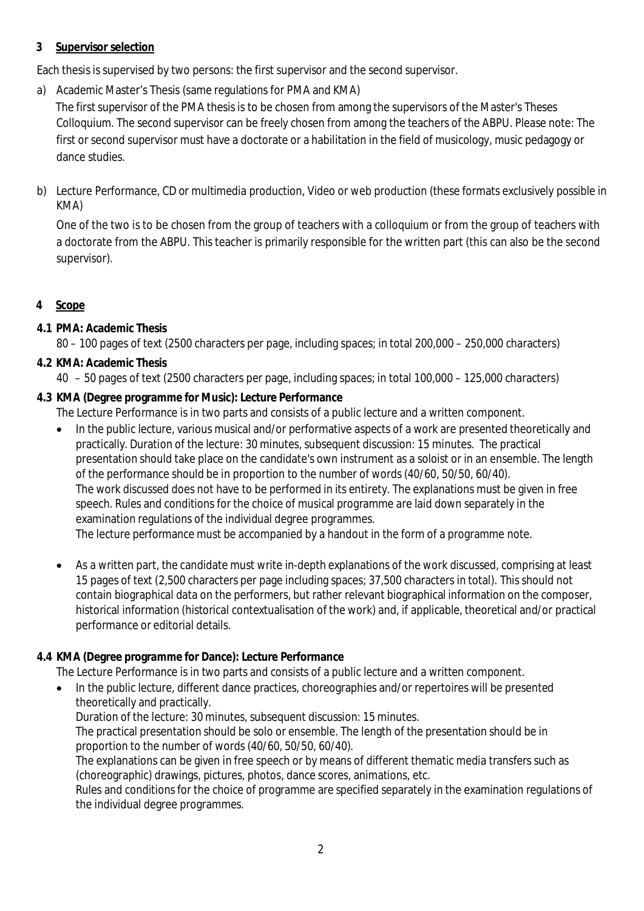### <span id="page-1-0"></span>**3 Supervisor selection**

Each thesis is supervised by two persons: the first supervisor and the second supervisor.

a) Academic Master's Thesis (same regulations for PMA and KMA)

The first supervisor of the PMA thesis is to be chosen from among the supervisors of the Master's Theses Colloquium. The second supervisor can be freely chosen from among the teachers of the ABPU. Please note: The first or second supervisor must have a doctorate or a habilitation in the field of musicology, music pedagogy or dance studies.

b) Lecture Performance, CD or multimedia production, Video or web production (these formats exclusively possible in KMA)

One of the two is to be chosen from the group of teachers with a colloquium or from the group of teachers with a doctorate from the ABPU. This teacher is primarily responsible for the written part (this can also be the second supervisor).

<span id="page-1-1"></span>**4 Scope**

## <span id="page-1-2"></span>**4.1 PMA: Academic Thesis**

80 – 100 pages of text (2500 characters per page, including spaces; in total 200,000 – 250,000 characters)

## <span id="page-1-3"></span>**4.2 KMA: Academic Thesis**

- 40 50 pages of text (2500 characters per page, including spaces; in total 100,000 125,000 characters)
- **4.3 KMA (Degree programme for Music): Lecture Performance**
	- The Lecture Performance is in two parts and consists of a public lecture and a written component.
	- In the public lecture, various musical and/or performative aspects of a work are presented theoretically and practically. Duration of the lecture: 30 minutes, subsequent discussion: 15 minutes. The practical presentation should take place on the candidate's own instrument as a soloist or in an ensemble. The length of the performance should be in proportion to the number of words (40/60, 50/50, 60/40). The work discussed does not have to be performed in its entirety. The explanations must be given in free speech. Rules and conditions for the choice of musical programme are laid down separately in the examination regulations of the individual degree programmes. The lecture performance must be accompanied by a handout in the form of a programme note.
	- As a written part, the candidate must write in-depth explanations of the work discussed, comprising at least 15 pages of text (2,500 characters per page including spaces; 37,500 characters in total). This should not contain biographical data on the performers, but rather relevant biographical information on the composer, historical information (historical contextualisation of the work) and, if applicable, theoretical and/or practical performance or editorial details.

## **4.4 KMA (Degree programme for Dance): Lecture Performance**

The Lecture Performance is in two parts and consists of a public lecture and a written component.

 In the public lecture, different dance practices, choreographies and/or repertoires will be presented theoretically and practically.

Duration of the lecture: 30 minutes, subsequent discussion: 15 minutes.

The practical presentation should be solo or ensemble. The length of the presentation should be in proportion to the number of words (40/60, 50/50, 60/40).

The explanations can be given in free speech or by means of different thematic media transfers such as (choreographic) drawings, pictures, photos, dance scores, animations, etc.

Rules and conditions for the choice of programme are specified separately in the examination regulations of the individual degree programmes.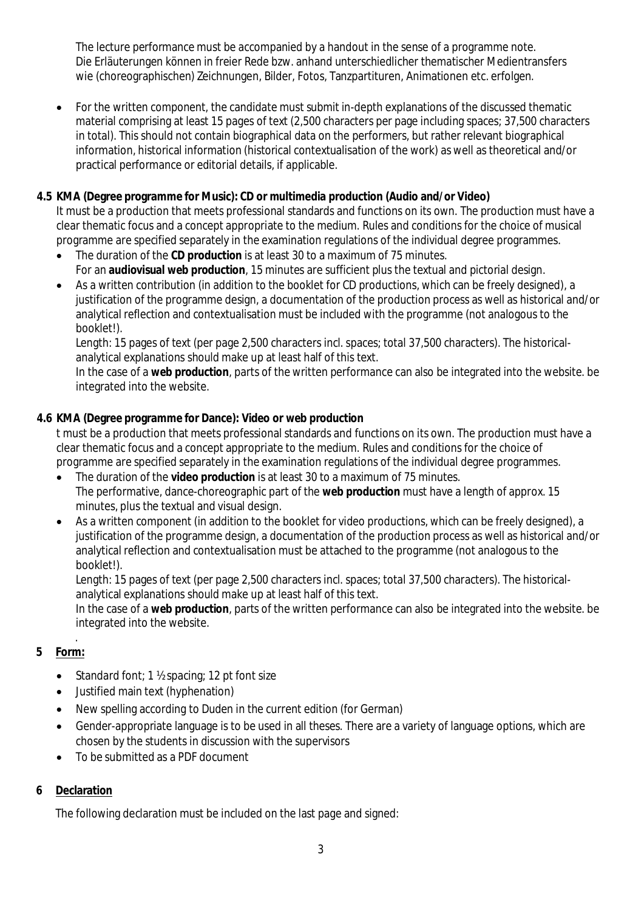The lecture performance must be accompanied by a handout in the sense of a programme note. Die Erläuterungen können in freier Rede bzw. anhand unterschiedlicher thematischer Medientransfers wie (choreographischen) Zeichnungen, Bilder, Fotos, Tanzpartituren, Animationen etc. erfolgen.

 For the written component, the candidate must submit in-depth explanations of the discussed thematic material comprising at least 15 pages of text (2,500 characters per page including spaces; 37,500 characters in total). This should not contain biographical data on the performers, but rather relevant biographical information, historical information (historical contextualisation of the work) as well as theoretical and/or practical performance or editorial details, if applicable.

#### **4.5 KMA (Degree programme for Music): CD or multimedia production (Audio and/or Video)**

It must be a production that meets professional standards and functions on its own. The production must have a clear thematic focus and a concept appropriate to the medium. Rules and conditions for the choice of musical programme are specified separately in the examination regulations of the individual degree programmes.

- The duration of the **CD production** is at least 30 to a maximum of 75 minutes. For an **audiovisual web production**, 15 minutes are sufficient plus the textual and pictorial design.
- As a written contribution (in addition to the booklet for CD productions, which can be freely designed), a justification of the programme design, a documentation of the production process as well as historical and/or analytical reflection and contextualisation must be included with the programme (not analogous to the booklet!).

Length: 15 pages of text (per page 2,500 characters incl. spaces; total 37,500 characters). The historicalanalytical explanations should make up at least half of this text.

In the case of a **web production**, parts of the written performance can also be integrated into the website. be integrated into the website.

### **4.6 KMA (Degree programme for Dance): Video or web production**

t must be a production that meets professional standards and functions on its own. The production must have a clear thematic focus and a concept appropriate to the medium. Rules and conditions for the choice of programme are specified separately in the examination regulations of the individual degree programmes.

- The duration of the **video production** is at least 30 to a maximum of 75 minutes. The performative, dance-choreographic part of the **web production** must have a length of approx. 15 minutes, plus the textual and visual design.
- As a written component (in addition to the booklet for video productions, which can be freely designed), a justification of the programme design, a documentation of the production process as well as historical and/or analytical reflection and contextualisation must be attached to the programme (not analogous to the booklet!).

Length: 15 pages of text (per page 2,500 characters incl. spaces; total 37,500 characters). The historicalanalytical explanations should make up at least half of this text.

In the case of a **web production**, parts of the written performance can also be integrated into the website. be integrated into the website.

#### <span id="page-2-0"></span>. **5 Form:**

- Standard font; 1 ½ spacing; 12 pt font size
- Justified main text (hyphenation)
- New spelling according to Duden in the current edition (for German)
- Gender-appropriate language is to be used in all theses. There are a variety of language options, which are chosen by the students in discussion with the supervisors
- To be submitted as a PDF document

## <span id="page-2-1"></span>**6 Declaration**

The following declaration must be included on the last page and signed: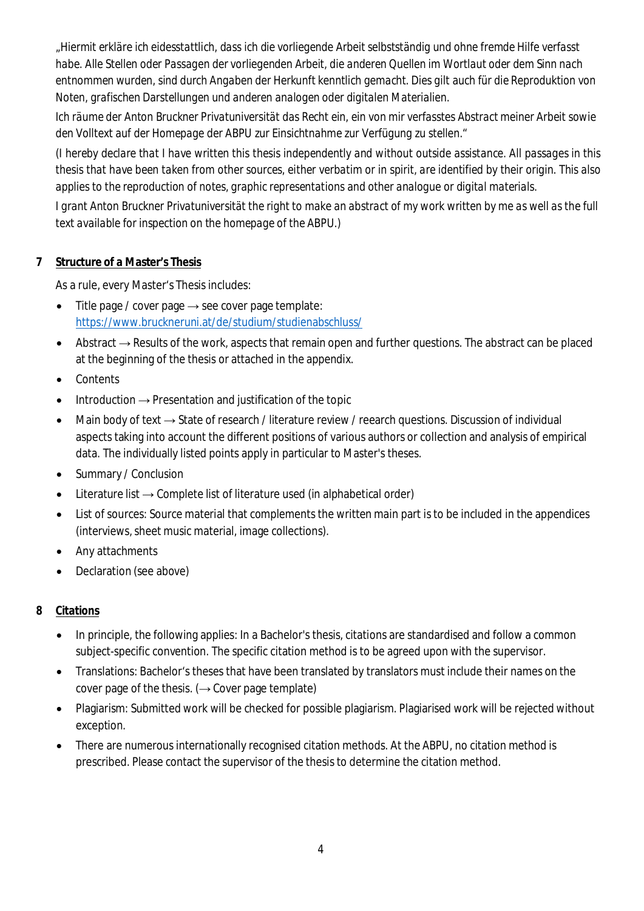*"Hiermit erkläre ich eidesstattlich, dass ich die vorliegende Arbeit selbstständig und ohne fremde Hilfe verfasst habe. Alle Stellen oder Passagen der vorliegenden Arbeit, die anderen Quellen im Wortlaut oder dem Sinn nach entnommen wurden, sind durch Angaben der Herkunft kenntlich gemacht. Dies gilt auch für die Reproduktion von Noten, grafischen Darstellungen und anderen analogen oder digitalen Materialien.*

*Ich räume der Anton Bruckner Privatuniversität das Recht ein, ein von mir verfasstes Abstract meiner Arbeit sowie den Volltext auf der Homepage der ABPU zur Einsichtnahme zur Verfügung zu stellen."*

*(I hereby declare that I have written this thesis independently and without outside assistance. All passages in this thesis that have been taken from other sources, either verbatim or in spirit, are identified by their origin. This also applies to the reproduction of notes, graphic representations and other analogue or digital materials.*

*I grant Anton Bruckner Privatuniversität the right to make an abstract of my work written by me as well as the full text available for inspection on the homepage of the ABPU.)*

### <span id="page-3-0"></span>**7 Structure of a Master's Thesis**

As a rule, every Master's Thesis includes:

- Title page / cover page  $\rightarrow$  see cover page template: https:/[/www.bruckneruni.at/de/studium/studienabschluss/](http://www.bruckneruni.at/de/studium/studienabschluss/)
- Abstract → Results of the work, aspects that remain open and further questions. The abstract can be placed at the beginning of the thesis or attached in the appendix.
- **Contents**
- Introduction → Presentation and justification of the topic
- Main body of text → State of research / literature review / reearch questions. Discussion of individual aspects taking into account the different positions of various authors or collection and analysis of empirical data. The individually listed points apply in particular to Master's theses.
- Summary / Conclusion
- Literature list  $\rightarrow$  Complete list of literature used (in alphabetical order)
- List of sources: Source material that complements the written main part is to be included in the appendices (interviews, sheet music material, image collections).
- Any attachments
- Declaration (see above)
- <span id="page-3-1"></span>**8 Citations**
	- In principle, the following applies: In a Bachelor's thesis, citations are standardised and follow a common subject-specific convention. The specific citation method is to be agreed upon with the supervisor.
	- Translations: Bachelor's theses that have been translated by translators must include their names on the cover page of the thesis.  $(\rightarrow$  Cover page template)
	- Plagiarism: Submitted work will be checked for possible plagiarism. Plagiarised work will be rejected without exception.
	- There are numerous internationally recognised citation methods. At the ABPU, no citation method is prescribed. Please contact the supervisor of the thesis to determine the citation method.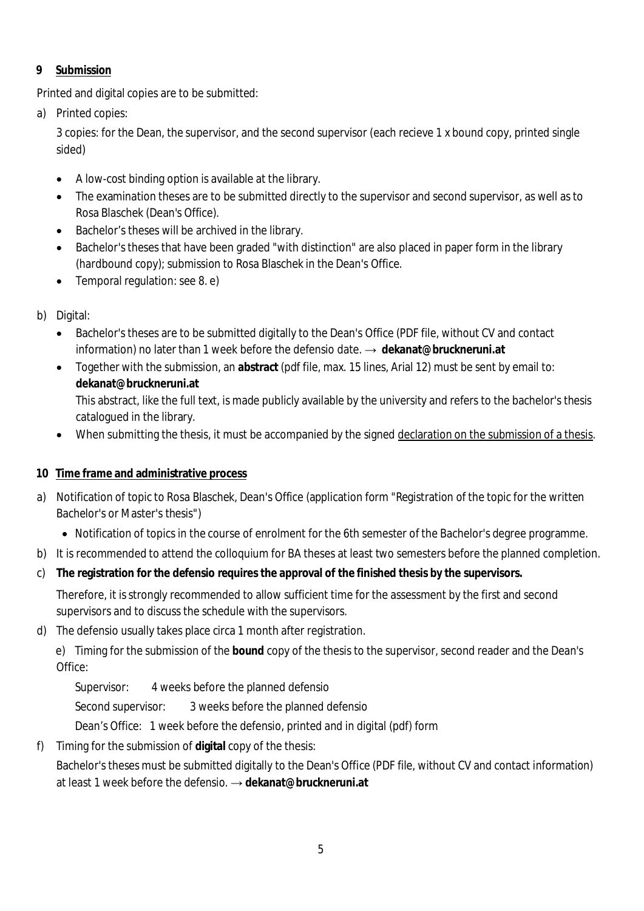## <span id="page-4-0"></span>**9 Submission**

Printed and digital copies are to be submitted:

a) Printed copies:

3 copies: for the Dean, the supervisor, and the second supervisor (each recieve 1 x bound copy, printed single sided)

- A low-cost binding option is available at the library.
- The examination theses are to be submitted directly to the supervisor and second supervisor, as well as to Rosa Blaschek (Dean's Office).
- Bachelor's theses will be archived in the library.
- Bachelor's theses that have been graded "with distinction" are also placed in paper form in the library (hardbound copy); submission to Rosa Blaschek in the Dean's Office.
- Temporal regulation: see 8. e)
- b) Digital:
	- Bachelor's theses are to be submitted digitally to the Dean's Office (PDF file, without CV and contact information) no later than 1 week before the defensio date. → **[dekanat@bruckneruni.at](mailto:dekanat@bruckneruni.at)**
	- Together with the submission, an **abstract** (pdf file, max. 15 lines, Arial 12) must be sent by email to: **[dekanat@bruckneruni.at](mailto:dekanat@bruckneruni.at)** This abstract, like the full text, is made publicly available by the university and refers to the bachelor's thesis catalogued in the library.
	- When submitting the thesis, it must be accompanied by the signed declaration on the submission of a thesis.
- **10 Time frame and administrative process**
- a) Notification of topic to Rosa Blaschek, Dean's Office (application form "Registration of the topic for the written Bachelor's or Master's thesis")
	- Notification of topics in the course of enrolment for the 6th semester of the Bachelor's degree programme.
- b) It is recommended to attend the colloquium for BA theses at least two semesters before the planned completion.
- c) **The registration for the defensio requires the approval of the finished thesis by the supervisors.**

Therefore, it is strongly recommended to allow sufficient time for the assessment by the first and second supervisors and to discuss the schedule with the supervisors.

d) The defensio usually takes place circa 1 month after registration.

e) Timing for the submission of the **bound** copy of the thesis to the supervisor, second reader and the Dean's Office:

Supervisor: 4 weeks before the planned defensio

Second supervisor: 3 weeks before the planned defensio

Dean's Office: 1 week before the defensio, printed and in digital (pdf) form

f) Timing for the submission of **digital** copy of the thesis:

Bachelor's theses must be submitted digitally to the Dean's Office (PDF file, without CV and contact information) at least 1 week before the defensio. → **[dekanat@bruckneruni.at](mailto:dekanat@bruckneruni.at)**